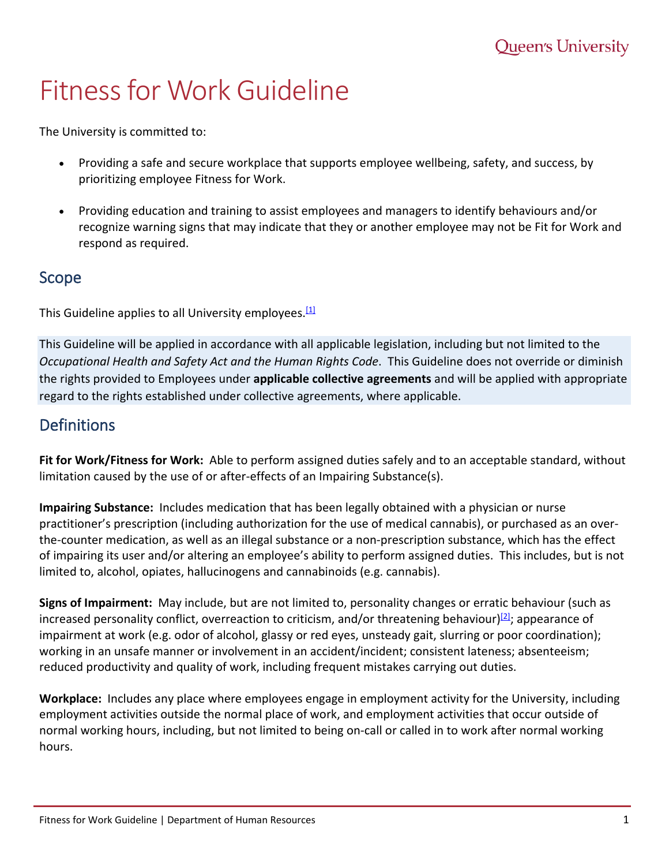# Fitness for Work Guideline

The University is committed to:

- Providing a safe and secure workplace that supports employee wellbeing, safety, and success, by prioritizing employee Fitness for Work.
- Providing education and training to assist employees and managers to identify behaviours and/or recognize warning signs that may indicate that they or another employee may not be Fit for Work and respond as required.

#### Scope

This Guideline applies to all University employees.<sup>[1]</sup>

This Guideline will be applied in accordance with all applicable legislation, including but not limited to the *Occupational Health and Safety Act and the Human Rights Code*. This Guideline does not override or diminish the rights provided to Employees under **applicable collective agreements** and will be applied with appropriate regard to the rights established under collective agreements, where applicable.

#### **Definitions**

**Fit for Work/Fitness for Work:** Able to perform assigned duties safely and to an acceptable standard, without limitation caused by the use of or after-effects of an Impairing Substance(s).

**Impairing Substance:** Includes medication that has been legally obtained with a physician or nurse practitioner's prescription (including authorization for the use of medical cannabis), or purchased as an overthe-counter medication, as well as an illegal substance or a non-prescription substance, which has the effect of impairing its user and/or altering an employee's ability to perform assigned duties. This includes, but is not limited to, alcohol, opiates, hallucinogens and cannabinoids (e.g. cannabis).

**Signs of Impairment:** May include, but are not limited to, personality changes or erratic behaviour (such as increased personality conflict, overreaction to criticism, and/or threatening behaviour) $[2]$ ; appearance of impairment at work (e.g. odor of alcohol, glassy or red eyes, unsteady gait, slurring or poor coordination); working in an unsafe manner or involvement in an accident/incident; consistent lateness; absenteeism; reduced productivity and quality of work, including frequent mistakes carrying out duties.

**Workplace:** Includes any place where employees engage in employment activity for the University, including employment activities outside the normal place of work, and employment activities that occur outside of normal working hours, including, but not limited to being on-call or called in to work after normal working hours.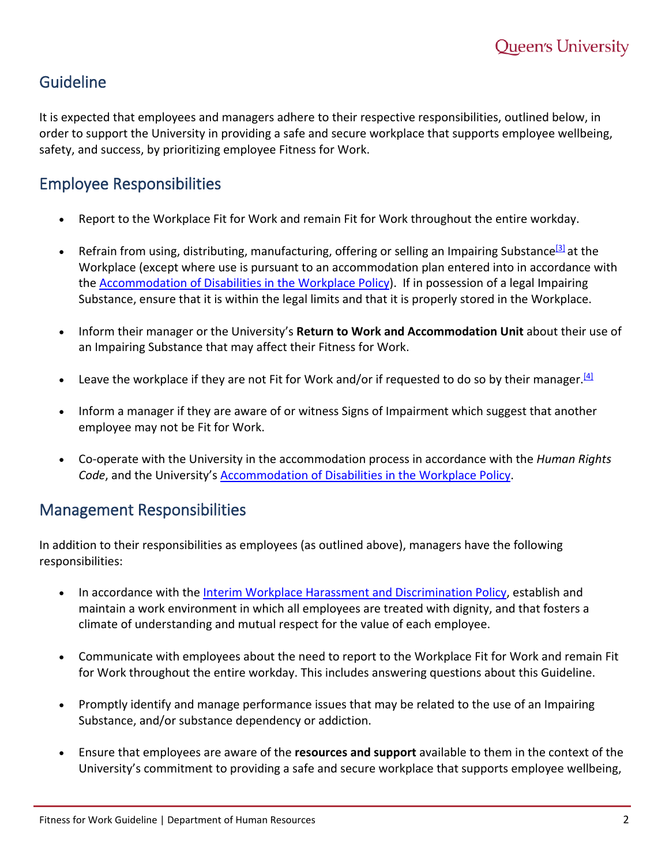## Guideline

It is expected that employees and managers adhere to their respective responsibilities, outlined below, in order to support the University in providing a safe and secure workplace that supports employee wellbeing, safety, and success, by prioritizing employee Fitness for Work.

# Employee Responsibilities

- Report to the Workplace Fit for Work and remain Fit for Work throughout the entire workday.
- Refrain from using, distributing, manufacturing, offering or selling an Impairing Substance<sup>[3]</sup> at the Workplace (except where use is pursuant to an accommodation plan entered into in accordance with the [Accommodation of Disabilities in the Workplace Policy\)](https://www.queensu.ca/secretariat/policies/human-resources/accommodation-disabilities-workplace-policy). If in possession of a legal Impairing Substance, ensure that it is within the legal limits and that it is properly stored in the Workplace.
- Inform their manager or the University's **Return to Work and Accommodation Unit** about their use of an Impairing Substance that may affect their Fitness for Work.
- Leave the workplace if they are not Fit for Work and/or if requested to do so by their manager.  $[4]$
- Inform a manager if they are aware of or witness Signs of Impairment which suggest that another employee may not be Fit for Work.
- Co-operate with the University in the accommodation process in accordance with the *Human Rights Code*, and the University'[s Accommodation of Disabilities in the Workplace Policy.](https://www.queensu.ca/secretariat/policies/human-resources/accommodation-disabilities-workplace-policy)

## Management Responsibilities

In addition to their responsibilities as employees (as outlined above), managers have the following responsibilities:

- In accordance with the [Interim Workplace Harassment and Discrimination Policy,](https://www.queensu.ca/secretariat/sites/webpublish.queensu.ca.uslcwww/files/files/policies/InterimWorkplaceHarassmentandDiscriminationPolicyfinal.pdf) establish and maintain a work environment in which all employees are treated with dignity, and that fosters a climate of understanding and mutual respect for the value of each employee.
- Communicate with employees about the need to report to the Workplace Fit for Work and remain Fit for Work throughout the entire workday. This includes answering questions about this Guideline.
- Promptly identify and manage performance issues that may be related to the use of an Impairing Substance, and/or substance dependency or addiction.
- Ensure that employees are aware of the **resources and support** available to them in the context of the University's commitment to providing a safe and secure workplace that supports employee wellbeing,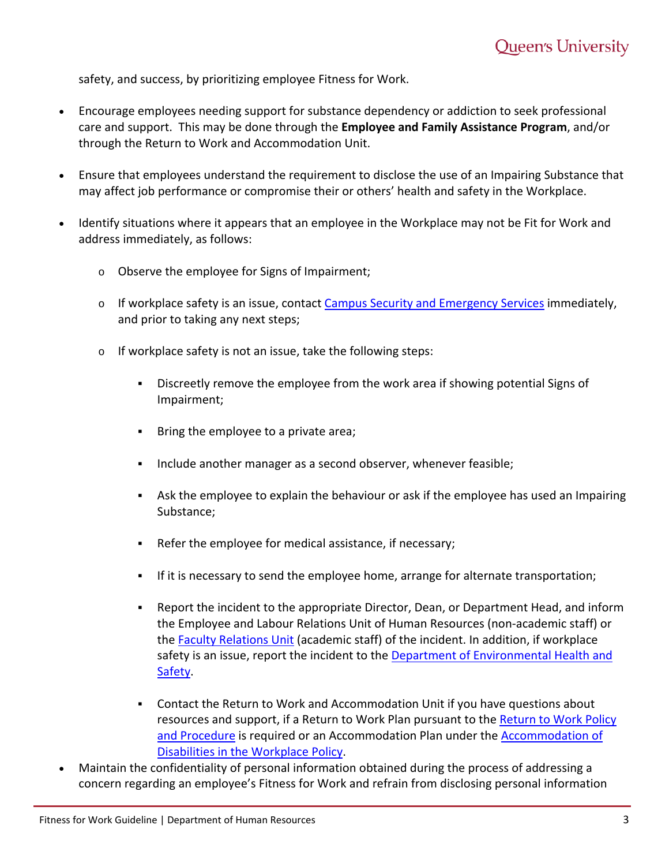safety, and success, by prioritizing employee Fitness for Work.

- Encourage employees needing support for substance dependency or addiction to seek professional care and support. This may be done through the **Employee and Family Assistance Program**, and/or through the Return to Work and Accommodation Unit.
- Ensure that employees understand the requirement to disclose the use of an Impairing Substance that may affect job performance or compromise their or others' health and safety in the Workplace.
- Identify situations where it appears that an employee in the Workplace may not be Fit for Work and address immediately, as follows:
	- o Observe the employee for Signs of Impairment;
	- $\circ$  If workplace safety is an issue, contact [Campus Security and Emergency Services](https://www.queensu.ca/risk/security) immediately, and prior to taking any next steps;
	- o If workplace safety is not an issue, take the following steps:
		- Discreetly remove the employee from the work area if showing potential Signs of Impairment;
		- **Bring the employee to a private area;**
		- **Include another manager as a second observer, whenever feasible;**
		- Ask the employee to explain the behaviour or ask if the employee has used an Impairing Substance;
		- Refer the employee for medical assistance, if necessary;
		- If it is necessary to send the employee home, arrange for alternate transportation;
		- Report the incident to the appropriate Director, Dean, or Department Head, and inform the Employee and Labour Relations Unit of Human Resources (non-academic staff) or the [Faculty Relations Unit](https://www.queensu.ca/facultyrelations/home) (academic staff) of the incident. In addition, if workplace safety is an issue, report the incident to the [Department of Environmental Health and](https://www.queensu.ca/risk/safety)  [Safety.](https://www.queensu.ca/risk/safety)
		- Contact the Return to Work and Accommodation Unit if you have questions about resources and support, if a Return to Work Plan pursuant to the Return to Work Policy [and Procedure](https://www.queensu.ca/secretariat/policies/human-resources/return-work-policy/return-work-procedure) is required or an Accommodation Plan under th[e Accommodation of](https://www.queensu.ca/secretariat/policies/human-resources/accommodation-disabilities-workplace-policy/disability-accommodation)  Disabilities in [the Workplace Policy.](https://www.queensu.ca/secretariat/policies/human-resources/accommodation-disabilities-workplace-policy/disability-accommodation)
- Maintain the confidentiality of personal information obtained during the process of addressing a concern regarding an employee's Fitness for Work and refrain from disclosing personal information